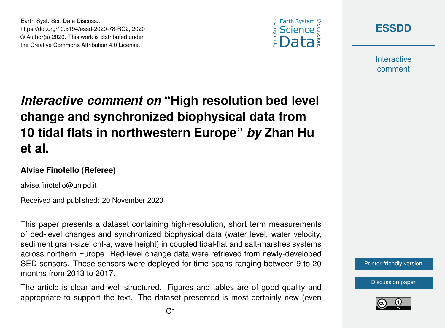



**Interactive** comment

# *Interactive comment on* **"High resolution bed level change and synchronized biophysical data from 10 tidal flats in northwestern Europe"** *by* **Zhan Hu et al.**

### **Alvise Finotello (Referee)**

alvise.finotello@unipd.it

Earth Syst. Sci. Data Discuss.,

https://doi.org/10.5194/essd-2020-78-RC2, 2020 © Author(s) 2020. This work is distributed under the Creative Commons Attribution 4.0 License.

Received and published: 20 November 2020

This paper presents a dataset containing high-resolution, short term measurements of bed-level changes and synchronized biophysical data (water level, water velocity, sediment grain-size, chl-a, wave height) in coupled tidal-flat and salt-marshes systems across northern Europe. Bed-level change data were retrieved from newly-developed SED sensors. These sensors were deployed for time-spans ranging between 9 to 20 months from 2013 to 2017.

The article is clear and well structured. Figures and tables are of good quality and appropriate to support the text. The dataset presented is most certainly new (even [Printer-friendly version](https://essd.copernicus.org/preprints/essd-2020-78/essd-2020-78-RC2-print.pdf)

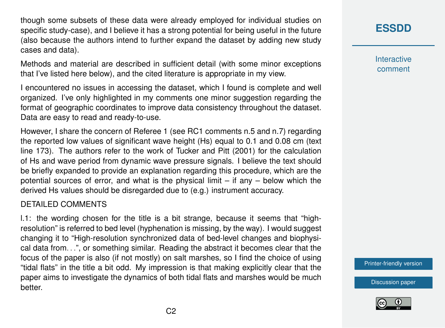though some subsets of these data were already employed for individual studies on specific study-case), and I believe it has a strong potential for being useful in the future (also because the authors intend to further expand the dataset by adding new study cases and data).

Methods and material are described in sufficient detail (with some minor exceptions that I've listed here below), and the cited literature is appropriate in my view.

I encountered no issues in accessing the dataset, which I found is complete and well organized. I've only highlighted in my comments one minor suggestion regarding the format of geographic coordinates to improve data consistency throughout the dataset. Data are easy to read and ready-to-use.

However, I share the concern of Referee 1 (see RC1 comments n.5 and n.7) regarding the reported low values of significant wave height (Hs) equal to 0.1 and 0.08 cm (text line 173). The authors refer to the work of Tucker and Pitt (2001) for the calculation of Hs and wave period from dynamic wave pressure signals. I believe the text should be briefly expanded to provide an explanation regarding this procedure, which are the potential sources of error, and what is the physical limit – if any – below which the derived Hs values should be disregarded due to (e.g.) instrument accuracy.

#### DETAILED COMMENTS

l.1: the wording chosen for the title is a bit strange, because it seems that "highresolution" is referred to bed level (hyphenation is missing, by the way). I would suggest changing it to "High-resolution synchronized data of bed-level changes and biophysical data from. . .", or something similar. Reading the abstract it becomes clear that the focus of the paper is also (if not mostly) on salt marshes, so I find the choice of using "tidal flats" in the title a bit odd. My impression is that making explicitly clear that the paper aims to investigate the dynamics of both tidal flats and marshes would be much better.

## **[ESSDD](https://essd.copernicus.org/preprints/)**

**Interactive** comment

[Printer-friendly version](https://essd.copernicus.org/preprints/essd-2020-78/essd-2020-78-RC2-print.pdf)

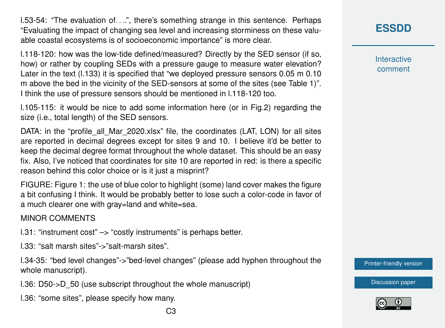l.53-54: "The evaluation of. . ..", there's something strange in this sentence. Perhaps "Evaluating the impact of changing sea level and increasing storminess on these valuable coastal ecosystems is of socioeconomic importance" is more clear.

l.118-120: how was the low-tide defined/measured? Directly by the SED sensor (if so, how) or rather by coupling SEDs with a pressure gauge to measure water elevation? Later in the text (1.133) it is specified that "we deployed pressure sensors 0.05 m 0.10 m above the bed in the vicinity of the SED-sensors at some of the sites (see Table 1)". I think the use of pressure sensors should be mentioned in l.118-120 too.

l.105-115: it would be nice to add some information here (or in Fig.2) regarding the size (i.e., total length) of the SED sensors.

DATA: in the "profile all Mar 2020.xlsx" file, the coordinates (LAT, LON) for all sites are reported in decimal degrees except for sites 9 and 10. I believe it'd be better to keep the decimal degree format throughout the whole dataset. This should be an easy fix. Also, I've noticed that coordinates for site 10 are reported in red: is there a specific reason behind this color choice or is it just a misprint?

FIGURE: Figure 1: the use of blue color to highlight (some) land cover makes the figure a bit confusing I think. It would be probably better to lose such a color-code in favor of a much clearer one with gray=land and white=sea.

#### MINOR COMMENTS

l.31: "instrument cost" –> "costly instruments" is perhaps better.

l.33: "salt marsh sites"->"salt-marsh sites".

l.34-35: "bed level changes"->"bed-level changes" (please add hyphen throughout the whole manuscript).

l.36: D50->D\_50 (use subscript throughout the whole manuscript)

l.36: "some sites", please specify how many.

**Interactive** comment

[Printer-friendly version](https://essd.copernicus.org/preprints/essd-2020-78/essd-2020-78-RC2-print.pdf)